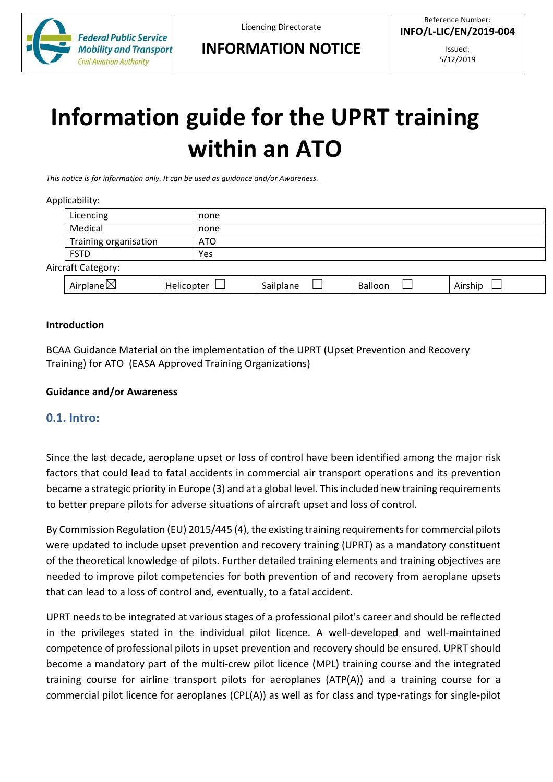

# **Information guide for the UPRT training within an ATO**

*This notice is for information only. It can be used as guidance and/or Awareness.* 

#### Applicability:

|                    | Licencing             | none       |           |         |         |  |  |
|--------------------|-----------------------|------------|-----------|---------|---------|--|--|
|                    | Medical               | none       |           |         |         |  |  |
|                    | Training organisation | <b>ATO</b> |           |         |         |  |  |
|                    | <b>FSTD</b>           | Yes        |           |         |         |  |  |
| Aircraft Category: |                       |            |           |         |         |  |  |
|                    | Airplane $\boxtimes$  | Helicopter | Sailplane | Balloon | Airship |  |  |

#### **Introduction**

BCAA Guidance Material on the implementation of the UPRT (Upset Prevention and Recovery Training) for ATO (EASA Approved Training Organizations)

#### **Guidance and/or Awareness**

#### **0.1. Intro:**

Since the last decade, aeroplane upset or loss of control have been identified among the major risk factors that could lead to fatal accidents in commercial air transport operations and its prevention became a strategic priority in Europe (3) and at a global level. This included new training requirements to better prepare pilots for adverse situations of aircraft upset and loss of control.

By Commission Regulation (EU) 2015/445 (4), the existing training requirements for commercial pilots were updated to include upset prevention and recovery training (UPRT) as a mandatory constituent of the theoretical knowledge of pilots. Further detailed training elements and training objectives are needed to improve pilot competencies for both prevention of and recovery from aeroplane upsets that can lead to a loss of control and, eventually, to a fatal accident.

UPRT needs to be integrated at various stages of a professional pilot's career and should be reflected in the privileges stated in the individual pilot licence. A well-developed and well-maintained competence of professional pilots in upset prevention and recovery should be ensured. UPRT should become a mandatory part of the multi-crew pilot licence (MPL) training course and the integrated training course for airline transport pilots for aeroplanes (ATP(A)) and a training course for a commercial pilot licence for aeroplanes (CPL(A)) as well as for class and type-ratings for single-pilot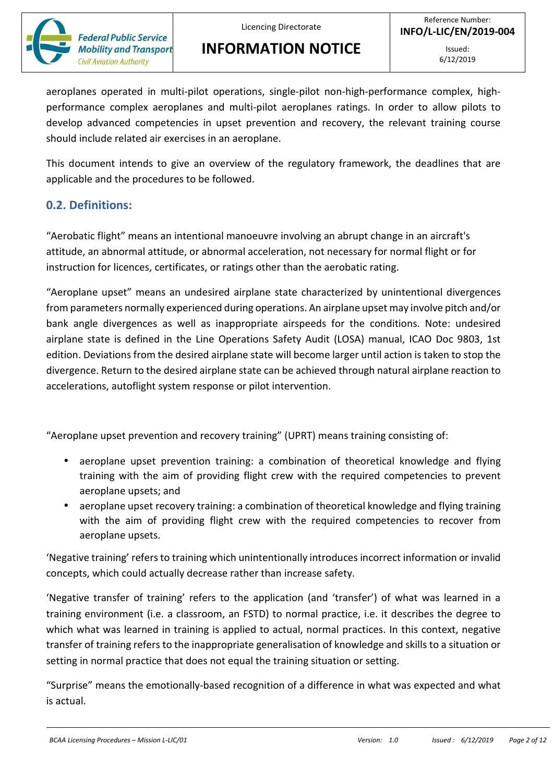

aeroplanes operated in multi-pilot operations, single-pilot non-high-performance complex, highperformance complex aeroplanes and multi-pilot aeroplanes ratings. In order to allow pilots to develop advanced competencies in upset prevention and recovery, the relevant training course should include related air exercises in an aeroplane.

This document intends to give an overview of the regulatory framework, the deadlines that are applicable and the procedures to be followed.

### **0.2. Definitions:**

"Aerobatic flight" means an intentional manoeuvre involving an abrupt change in an aircraft's attitude, an abnormal attitude, or abnormal acceleration, not necessary for normal flight or for instruction for licences, certificates, or ratings other than the aerobatic rating.

"Aeroplane upset" means an undesired airplane state characterized by unintentional divergences from parameters normally experienced during operations. An airplane upset may involve pitch and/or bank angle divergences as well as inappropriate airspeeds for the conditions. Note: undesired airplane state is defined in the Line Operations Safety Audit (LOSA) manual, ICAO Doc 9803, 1st edition. Deviations from the desired airplane state will become larger until action is taken to stop the divergence. Return to the desired airplane state can be achieved through natural airplane reaction to accelerations, autoflight system response or pilot intervention.

"Aeroplane upset prevention and recovery training" (UPRT) means training consisting of:

- aeroplane upset prevention training: a combination of theoretical knowledge and flying training with the aim of providing flight crew with the required competencies to prevent aeroplane upsets; and
- aeroplane upset recovery training: a combination of theoretical knowledge and flying training with the aim of providing flight crew with the required competencies to recover from aeroplane upsets.

'Negative training' refers to training which unintentionally introduces incorrect information or invalid concepts, which could actually decrease rather than increase safety.

'Negative transfer of training' refers to the application (and 'transfer') of what was learned in a training environment (i.e. a classroom, an FSTD) to normal practice, i.e. it describes the degree to which what was learned in training is applied to actual, normal practices. In this context, negative transfer of training refers to the inappropriate generalisation of knowledge and skills to a situation or setting in normal practice that does not equal the training situation or setting.

"Surprise" means the emotionally-based recognition of a difference in what was expected and what is actual.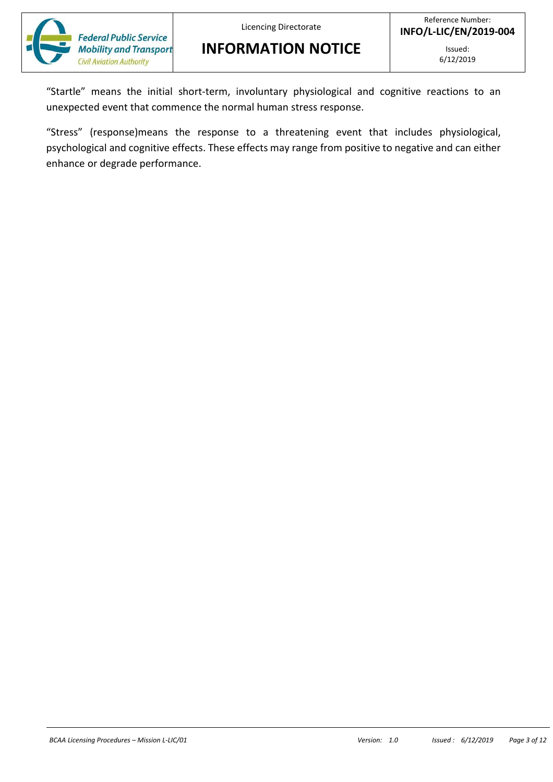Licencing Directorate

**INFORMATION NOTICE**



"Startle" means the initial short-term, involuntary physiological and cognitive reactions to an unexpected event that commence the normal human stress response.

"Stress" (response)means the response to a threatening event that includes physiological, psychological and cognitive effects. These effects may range from positive to negative and can either enhance or degrade performance.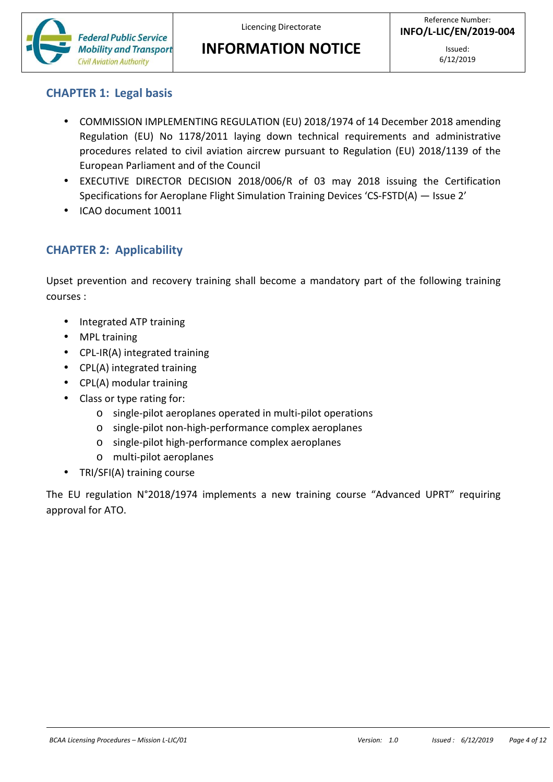Licencing Directorate

**INFORMATION NOTICE**

# **CHAPTER 1: Legal basis**

- COMMISSION IMPLEMENTING REGULATION (EU) 2018/1974 of 14 December 2018 amending Regulation (EU) No 1178/2011 laying down technical requirements and administrative procedures related to civil aviation aircrew pursuant to Regulation (EU) 2018/1139 of the European Parliament and of the Council
- EXECUTIVE DIRECTOR DECISION 2018/006/R of 03 may 2018 issuing the Certification Specifications for Aeroplane Flight Simulation Training Devices 'CS-FSTD(A) — Issue 2'
- ICAO document 10011

### **CHAPTER 2: Applicability**

Upset prevention and recovery training shall become a mandatory part of the following training courses :

- Integrated ATP training
- MPL training
- CPL-IR(A) integrated training
- CPL(A) integrated training
- CPL(A) modular training
- Class or type rating for:
	- o single-pilot aeroplanes operated in multi-pilot operations
	- o single-pilot non-high-performance complex aeroplanes
	- o single-pilot high-performance complex aeroplanes
	- o multi-pilot aeroplanes
- TRI/SFI(A) training course

The EU regulation N°2018/1974 implements a new training course "Advanced UPRT" requiring approval for ATO.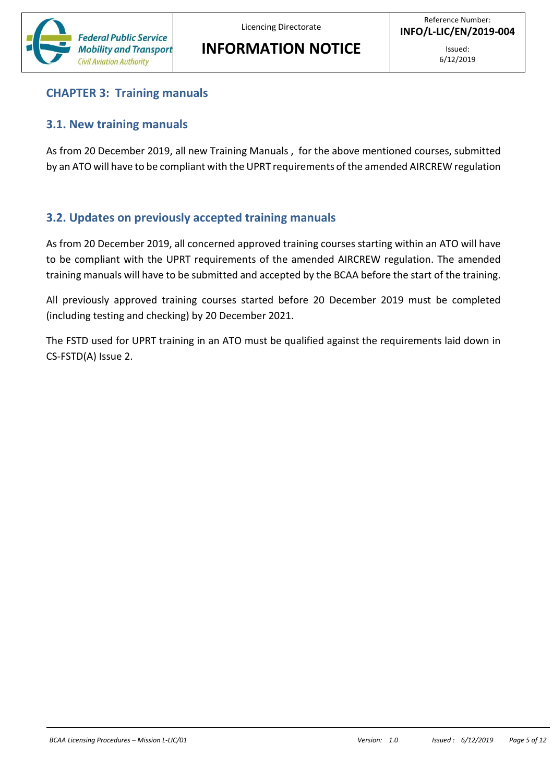

# **CHAPTER 3: Training manuals**

### **3.1. New training manuals**

As from 20 December 2019, all new Training Manuals , for the above mentioned courses, submitted by an ATO will have to be compliant with the UPRT requirements of the amended AIRCREW regulation

# **3.2. Updates on previously accepted training manuals**

As from 20 December 2019, all concerned approved training courses starting within an ATO will have to be compliant with the UPRT requirements of the amended AIRCREW regulation. The amended training manuals will have to be submitted and accepted by the BCAA before the start of the training.

All previously approved training courses started before 20 December 2019 must be completed (including testing and checking) by 20 December 2021.

The FSTD used for UPRT training in an ATO must be qualified against the requirements laid down in CS-FSTD(A) Issue 2.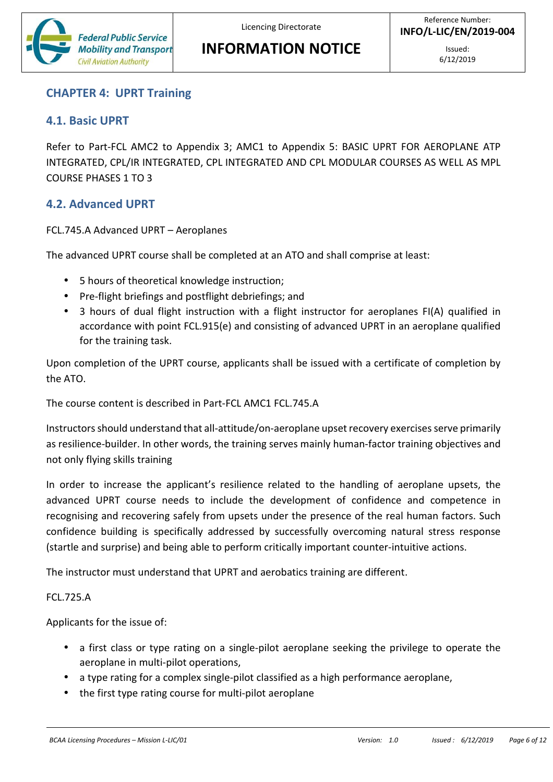

#### **CHAPTER 4: UPRT Training**

#### **4.1. Basic UPRT**

Refer to Part-FCL AMC2 to Appendix 3; AMC1 to Appendix 5: BASIC UPRT FOR AEROPLANE ATP INTEGRATED, CPL/IR INTEGRATED, CPL INTEGRATED AND CPL MODULAR COURSES AS WELL AS MPL COURSE PHASES 1 TO 3

### **4.2. Advanced UPRT**

FCL.745.A Advanced UPRT – Aeroplanes

The advanced UPRT course shall be completed at an ATO and shall comprise at least:

- 5 hours of theoretical knowledge instruction;
- Pre-flight briefings and postflight debriefings; and
- 3 hours of dual flight instruction with a flight instructor for aeroplanes FI(A) qualified in accordance with point FCL.915(e) and consisting of advanced UPRT in an aeroplane qualified for the training task.

Upon completion of the UPRT course, applicants shall be issued with a certificate of completion by the ATO.

The course content is described in Part-FCL AMC1 FCL.745.A

Instructors should understand that all-attitude/on-aeroplane upset recovery exercises serve primarily as resilience-builder. In other words, the training serves mainly human-factor training objectives and not only flying skills training

In order to increase the applicant's resilience related to the handling of aeroplane upsets, the advanced UPRT course needs to include the development of confidence and competence in recognising and recovering safely from upsets under the presence of the real human factors. Such confidence building is specifically addressed by successfully overcoming natural stress response (startle and surprise) and being able to perform critically important counter-intuitive actions.

The instructor must understand that UPRT and aerobatics training are different.

#### FCL.725.A

Applicants for the issue of:

- a first class or type rating on a single-pilot aeroplane seeking the privilege to operate the aeroplane in multi-pilot operations,
- a type rating for a complex single-pilot classified as a high performance aeroplane,
- the first type rating course for multi-pilot aeroplane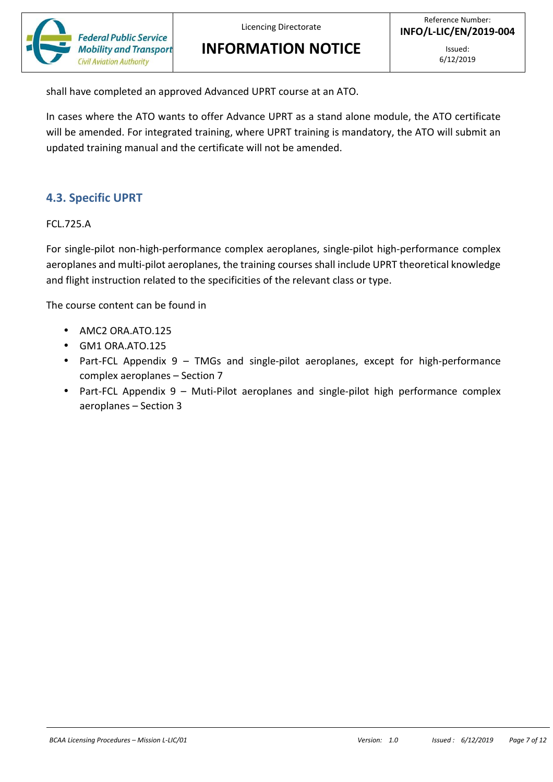

shall have completed an approved Advanced UPRT course at an ATO.

In cases where the ATO wants to offer Advance UPRT as a stand alone module, the ATO certificate will be amended. For integrated training, where UPRT training is mandatory, the ATO will submit an updated training manual and the certificate will not be amended.

### **4.3. Specific UPRT**

FCL.725.A

For single-pilot non-high-performance complex aeroplanes, single-pilot high-performance complex aeroplanes and multi-pilot aeroplanes, the training courses shall include UPRT theoretical knowledge and flight instruction related to the specificities of the relevant class or type.

The course content can be found in

- AMC2 ORA.ATO.125
- GM1 ORA.ATO.125
- Part-FCL Appendix 9 TMGs and single-pilot aeroplanes, except for high-performance complex aeroplanes – Section 7
- Part-FCL Appendix 9 Muti-Pilot aeroplanes and single-pilot high performance complex aeroplanes – Section 3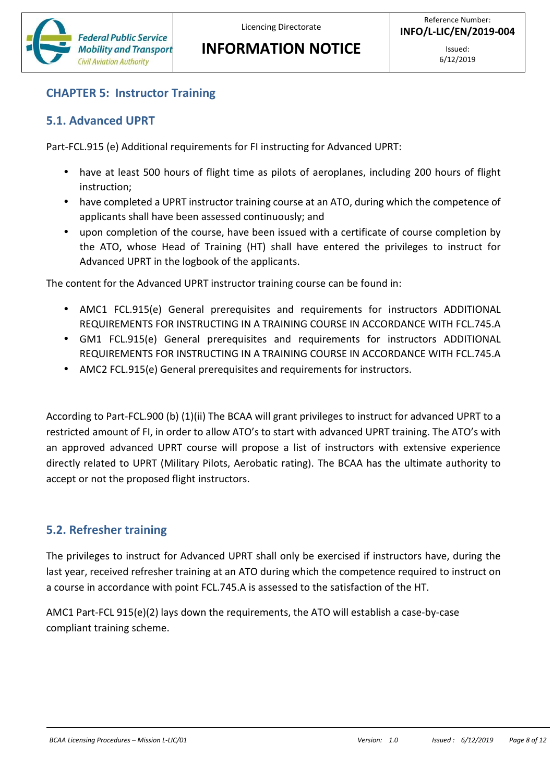

# **CHAPTER 5: Instructor Training**

### **5.1. Advanced UPRT**

Part-FCL.915 (e) Additional requirements for FI instructing for Advanced UPRT:

- have at least 500 hours of flight time as pilots of aeroplanes, including 200 hours of flight instruction;
- have completed a UPRT instructor training course at an ATO, during which the competence of applicants shall have been assessed continuously; and
- upon completion of the course, have been issued with a certificate of course completion by the ATO, whose Head of Training (HT) shall have entered the privileges to instruct for Advanced UPRT in the logbook of the applicants.

The content for the Advanced UPRT instructor training course can be found in:

- AMC1 FCL.915(e) General prerequisites and requirements for instructors ADDITIONAL REQUIREMENTS FOR INSTRUCTING IN A TRAINING COURSE IN ACCORDANCE WITH FCL.745.A
- GM1 FCL.915(e) General prerequisites and requirements for instructors ADDITIONAL REQUIREMENTS FOR INSTRUCTING IN A TRAINING COURSE IN ACCORDANCE WITH FCL.745.A
- AMC2 FCL.915(e) General prerequisites and requirements for instructors.

According to Part-FCL.900 (b) (1)(ii) The BCAA will grant privileges to instruct for advanced UPRT to a restricted amount of FI, in order to allow ATO's to start with advanced UPRT training. The ATO's with an approved advanced UPRT course will propose a list of instructors with extensive experience directly related to UPRT (Military Pilots, Aerobatic rating). The BCAA has the ultimate authority to accept or not the proposed flight instructors.

# **5.2. Refresher training**

The privileges to instruct for Advanced UPRT shall only be exercised if instructors have, during the last year, received refresher training at an ATO during which the competence required to instruct on a course in accordance with point FCL.745.A is assessed to the satisfaction of the HT.

AMC1 Part-FCL 915(e)(2) lays down the requirements, the ATO will establish a case-by-case compliant training scheme.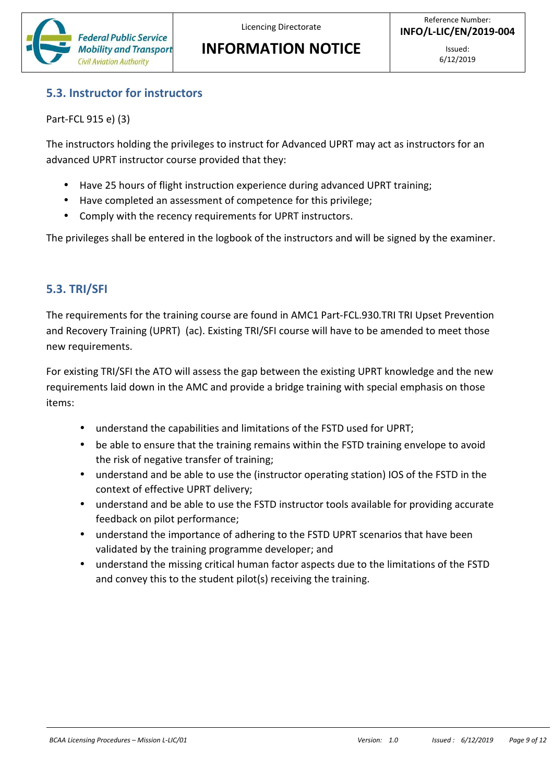

#### **5.3. Instructor for instructors**

Part-FCL 915 e) (3)

The instructors holding the privileges to instruct for Advanced UPRT may act as instructors for an advanced UPRT instructor course provided that they:

- Have 25 hours of flight instruction experience during advanced UPRT training;
- Have completed an assessment of competence for this privilege;
- Comply with the recency requirements for UPRT instructors.

The privileges shall be entered in the logbook of the instructors and will be signed by the examiner.

### **5.3. TRI/SFI**

The requirements for the training course are found in AMC1 Part-FCL.930.TRI TRI Upset Prevention and Recovery Training (UPRT) (ac). Existing TRI/SFI course will have to be amended to meet those new requirements.

For existing TRI/SFI the ATO will assess the gap between the existing UPRT knowledge and the new requirements laid down in the AMC and provide a bridge training with special emphasis on those items:

- understand the capabilities and limitations of the FSTD used for UPRT;
- be able to ensure that the training remains within the FSTD training envelope to avoid the risk of negative transfer of training;
- understand and be able to use the (instructor operating station) IOS of the FSTD in the context of effective UPRT delivery;
- understand and be able to use the FSTD instructor tools available for providing accurate feedback on pilot performance;
- understand the importance of adhering to the FSTD UPRT scenarios that have been validated by the training programme developer; and
- understand the missing critical human factor aspects due to the limitations of the FSTD and convey this to the student pilot(s) receiving the training.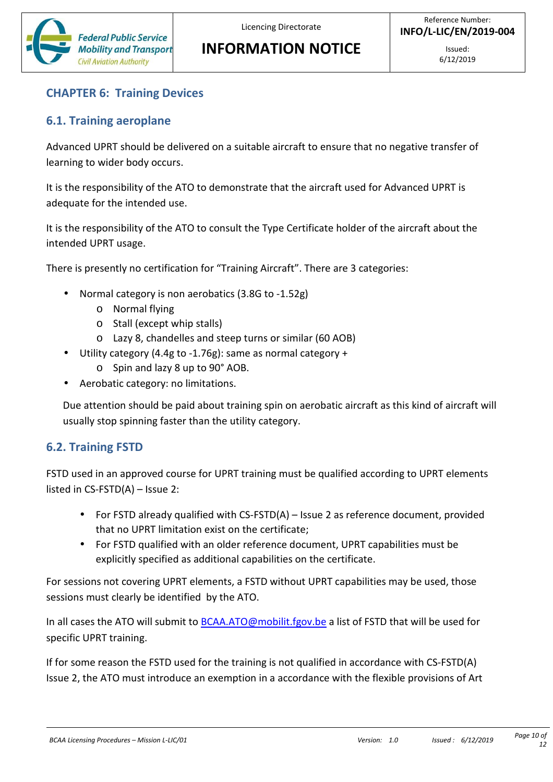

# **CHAPTER 6: Training Devices**

### **6.1. Training aeroplane**

Advanced UPRT should be delivered on a suitable aircraft to ensure that no negative transfer of learning to wider body occurs.

It is the responsibility of the ATO to demonstrate that the aircraft used for Advanced UPRT is adequate for the intended use.

It is the responsibility of the ATO to consult the Type Certificate holder of the aircraft about the intended UPRT usage.

There is presently no certification for "Training Aircraft". There are 3 categories:

- Normal category is non aerobatics (3.8G to -1.52g)
	- o Normal flying
	- o Stall (except whip stalls)
	- o Lazy 8, chandelles and steep turns or similar (60 AOB)
- Utility category (4.4g to -1.76g): same as normal category +
	- o Spin and lazy 8 up to 90° AOB.
- Aerobatic category: no limitations.

Due attention should be paid about training spin on aerobatic aircraft as this kind of aircraft will usually stop spinning faster than the utility category.

# **6.2. Training FSTD**

FSTD used in an approved course for UPRT training must be qualified according to UPRT elements listed in CS-FSTD(A) – Issue 2:

- For FSTD already qualified with CS-FSTD(A) Issue 2 as reference document, provided that no UPRT limitation exist on the certificate;
- For FSTD qualified with an older reference document, UPRT capabilities must be explicitly specified as additional capabilities on the certificate.

For sessions not covering UPRT elements, a FSTD without UPRT capabilities may be used, those sessions must clearly be identified by the ATO.

In all cases the ATO will submit to BCAA.ATO@mobilit.fgov.be a list of FSTD that will be used for specific UPRT training.

If for some reason the FSTD used for the training is not qualified in accordance with CS-FSTD(A) Issue 2, the ATO must introduce an exemption in a accordance with the flexible provisions of Art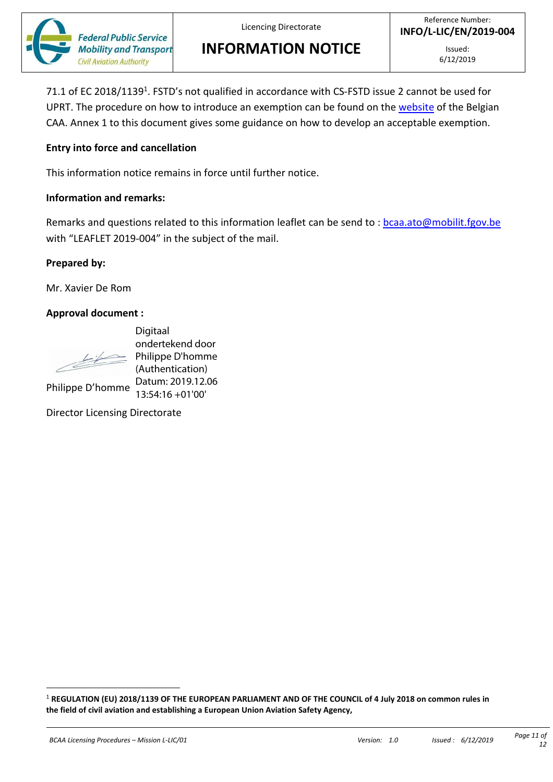

Licencing Directorate

**INFORMATION NOTICE**

71.1 of EC 2018/1139<sup>1</sup>. FSTD's not qualified in accordance with CS-FSTD issue 2 cannot be used for UPRT. The procedure on how to introduce an exemption can be found on the website of the Belgian CAA. Annex 1 to this document gives some guidance on how to develop an acceptable exemption.

#### **Entry into force and cancellation**

This information notice remains in force until further notice.

#### **Information and remarks:**

Remarks and questions related to this information leaflet can be send to : bcaa.ato@mobilit.fgov.be with "LEAFLET 2019-004" in the subject of the mail.

#### **Prepared by:**

Mr. Xavier De Rom

#### **Approval document :**

Philippe D'homme

Digitaal<br>
ondertekend door<br>
(Authentication)<br>
Fhilippe D'homme Datum: 2019.12.06<br>
Philippe D'homme Datum: 2019.12.06<br>
Director Licensing Directorate<br>
is according Directorate<br>
is a European Union Aviation Safety Agency,<br>
i ondertekend door Philippe D'homme (Authentication) Datum: 2019.12.06 13:54:16 +01'00'

Director Licensing Directorate

<sup>1</sup> **REGULATION (EU) 2018/1139 OF THE EUROPEAN PARLIAMENT AND OF THE COUNCIL of 4 July 2018 on common rules in**